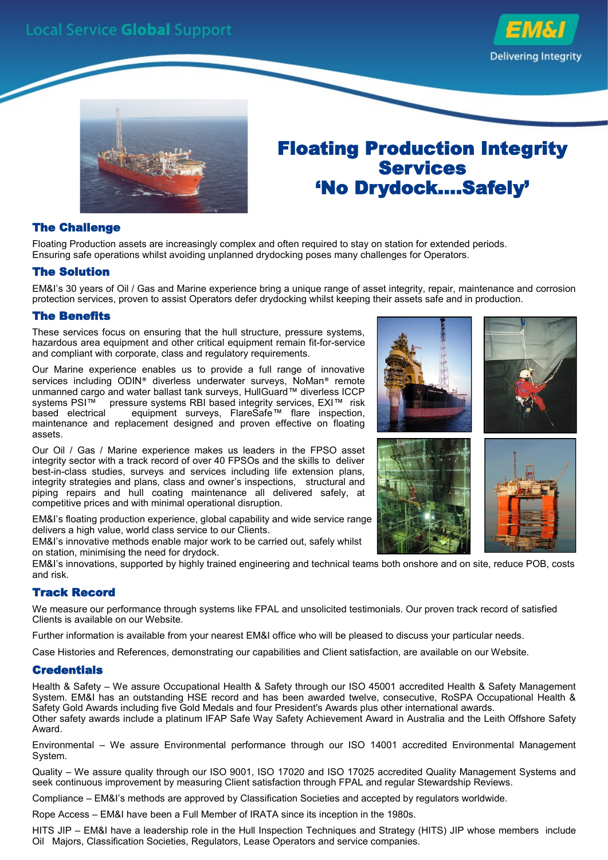



## Floating Production Integrity Services 'No Drydock....Safely'

#### The Challenge

Floating Production assets are increasingly complex and often required to stay on station for extended periods. Ensuring safe operations whilst avoiding unplanned drydocking poses many challenges for Operators.

#### The Solution

EM&I's 30 years of Oil / Gas and Marine experience bring a unique range of asset integrity, repair, maintenance and corrosion protection services, proven to assist Operators defer drydocking whilst keeping their assets safe and in production.

#### The Benefits

These services focus on ensuring that the hull structure, pressure systems, hazardous area equipment and other critical equipment remain fit-for-service and compliant with corporate, class and regulatory requirements.

Our Marine experience enables us to provide a full range of innovative services including ODIN® diverless underwater surveys, NoMan® remote unmanned cargo and water ballast tank surveys, HullGuard™ diverless ICCP<br>systems PSI™ pressure systems RBI based integrity services, EXI™ risk pressure systems RBI based integrity services, EXI™ risk based electrical equipment surveys, FlareSafe™ flare inspection, maintenance and replacement designed and proven effective on floating assets.

Our Oil / Gas / Marine experience makes us leaders in the FPSO asset integrity sector with a track record of over 40 FPSOs and the skills to deliver best-in-class studies, surveys and services including life extension plans, integrity strategies and plans, class and owner's inspections, structural and piping repairs and hull coating maintenance all delivered safely, at competitive prices and with minimal operational disruption.

EM&I's floating production experience, global capability and wide service range delivers a high value, world class service to our Clients.

EM&I's innovative methods enable major work to be carried out, safely whilst on station, minimising the need for drydock.

EM&I's innovations, supported by highly trained engineering and technical teams both onshore and on site, reduce POB, costs and risk.

#### Track Record

We measure our performance through systems like FPAL and unsolicited testimonials. Our proven track record of satisfied Clients is available on our Website.

Further information is available from your nearest EM&I office who will be pleased to discuss your particular needs.

Case Histories and References, demonstrating our capabilities and Client satisfaction, are available on our Website.

#### **Credentials**

Health & Safety – We assure Occupational Health & Safety through our ISO 45001 accredited Health & Safety Management System. EM&I has an outstanding HSE record and has been awarded twelve, consecutive, RoSPA Occupational Health & Safety Gold Awards including five Gold Medals and four President's Awards plus other international awards. Other safety awards include a platinum IFAP Safe Way Safety Achievement Award in Australia and the Leith Offshore Safety Award.

Environmental – We assure Environmental performance through our ISO 14001 accredited Environmental Management System.

Quality – We assure quality through our ISO 9001, ISO 17020 and ISO 17025 accredited Quality Management Systems and seek continuous improvement by measuring Client satisfaction through FPAL and regular Stewardship Reviews.

Compliance – EM&I's methods are approved by Classification Societies and accepted by regulators worldwide.

Rope Access – EM&I have been a Full Member of IRATA since its inception in the 1980s.

HITS JIP – EM&I have a leadership role in the Hull Inspection Techniques and Strategy (HITS) JIP whose members include Oil Majors, Classification Societies, Regulators, Lease Operators and service companies.